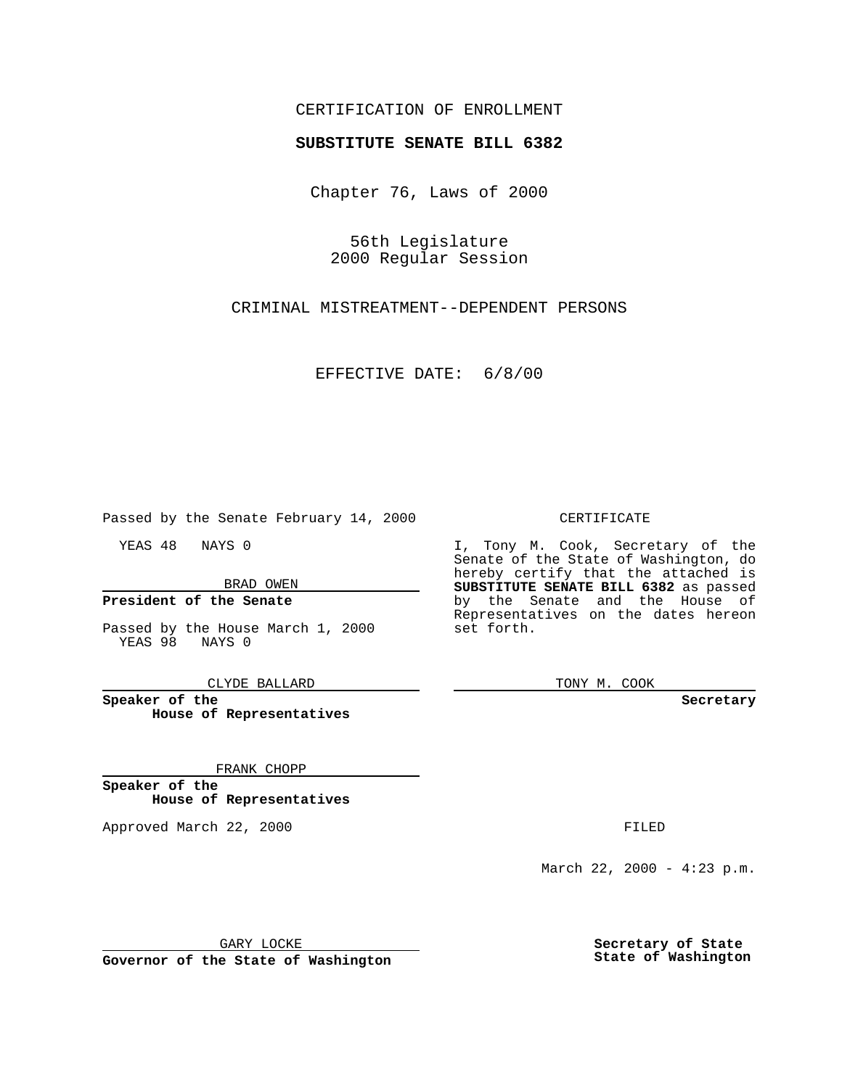## CERTIFICATION OF ENROLLMENT

# **SUBSTITUTE SENATE BILL 6382**

Chapter 76, Laws of 2000

56th Legislature 2000 Regular Session

CRIMINAL MISTREATMENT--DEPENDENT PERSONS

EFFECTIVE DATE: 6/8/00

Passed by the Senate February 14, 2000

YEAS 48 NAYS 0

BRAD OWEN

### **President of the Senate**

Passed by the House March 1, 2000 YEAS 98 NAYS 0

CLYDE BALLARD

**Speaker of the House of Representatives**

FRANK CHOPP

**Speaker of the House of Representatives**

Approved March 22, 2000 FILED

#### CERTIFICATE

I, Tony M. Cook, Secretary of the Senate of the State of Washington, do hereby certify that the attached is **SUBSTITUTE SENATE BILL 6382** as passed by the Senate and the House of Representatives on the dates hereon set forth.

TONY M. COOK

**Secretary**

March 22, 2000 - 4:23 p.m.

GARY LOCKE

**Governor of the State of Washington**

**Secretary of State State of Washington**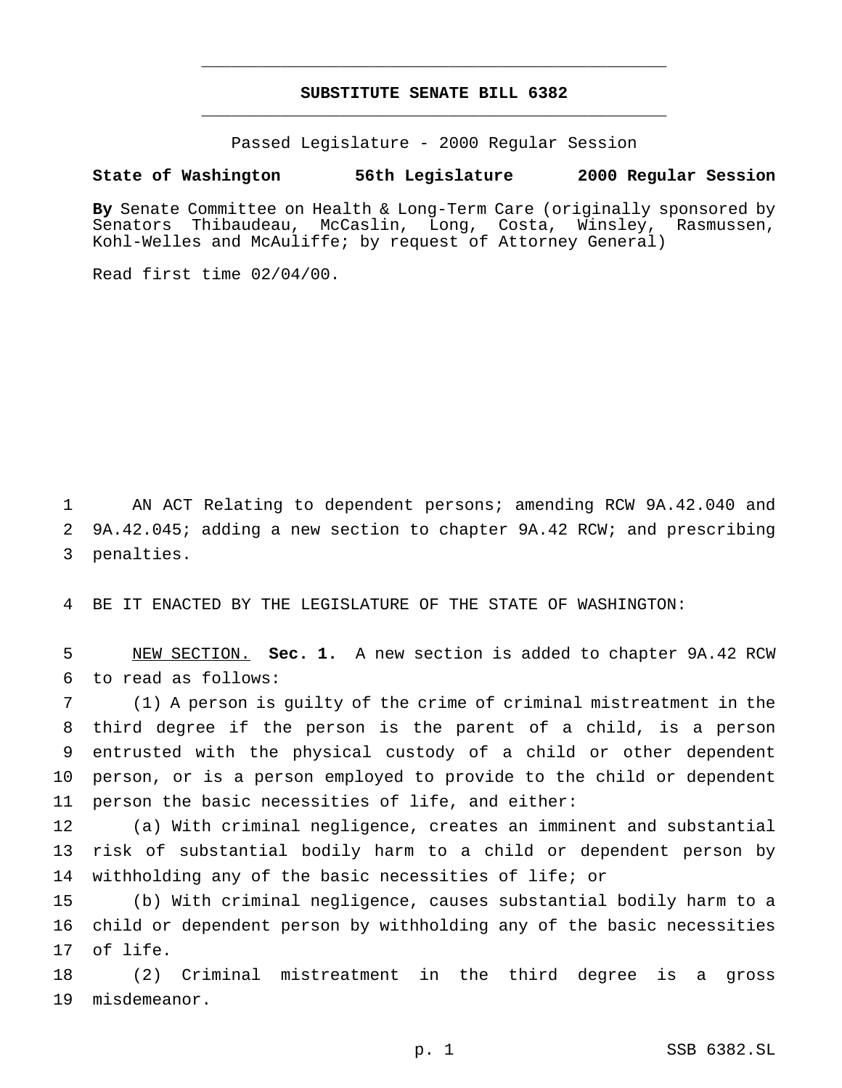# **SUBSTITUTE SENATE BILL 6382** \_\_\_\_\_\_\_\_\_\_\_\_\_\_\_\_\_\_\_\_\_\_\_\_\_\_\_\_\_\_\_\_\_\_\_\_\_\_\_\_\_\_\_\_\_\_\_

\_\_\_\_\_\_\_\_\_\_\_\_\_\_\_\_\_\_\_\_\_\_\_\_\_\_\_\_\_\_\_\_\_\_\_\_\_\_\_\_\_\_\_\_\_\_\_

Passed Legislature - 2000 Regular Session

#### **State of Washington 56th Legislature 2000 Regular Session**

**By** Senate Committee on Health & Long-Term Care (originally sponsored by Senators Thibaudeau, McCaslin, Long, Costa, Winsley, Rasmussen, Kohl-Welles and McAuliffe; by request of Attorney General)

Read first time 02/04/00.

 AN ACT Relating to dependent persons; amending RCW 9A.42.040 and 9A.42.045; adding a new section to chapter 9A.42 RCW; and prescribing penalties.

BE IT ENACTED BY THE LEGISLATURE OF THE STATE OF WASHINGTON:

 NEW SECTION. **Sec. 1.** A new section is added to chapter 9A.42 RCW to read as follows:

 (1) A person is guilty of the crime of criminal mistreatment in the third degree if the person is the parent of a child, is a person entrusted with the physical custody of a child or other dependent person, or is a person employed to provide to the child or dependent person the basic necessities of life, and either:

 (a) With criminal negligence, creates an imminent and substantial risk of substantial bodily harm to a child or dependent person by withholding any of the basic necessities of life; or

 (b) With criminal negligence, causes substantial bodily harm to a child or dependent person by withholding any of the basic necessities of life.

 (2) Criminal mistreatment in the third degree is a gross misdemeanor.